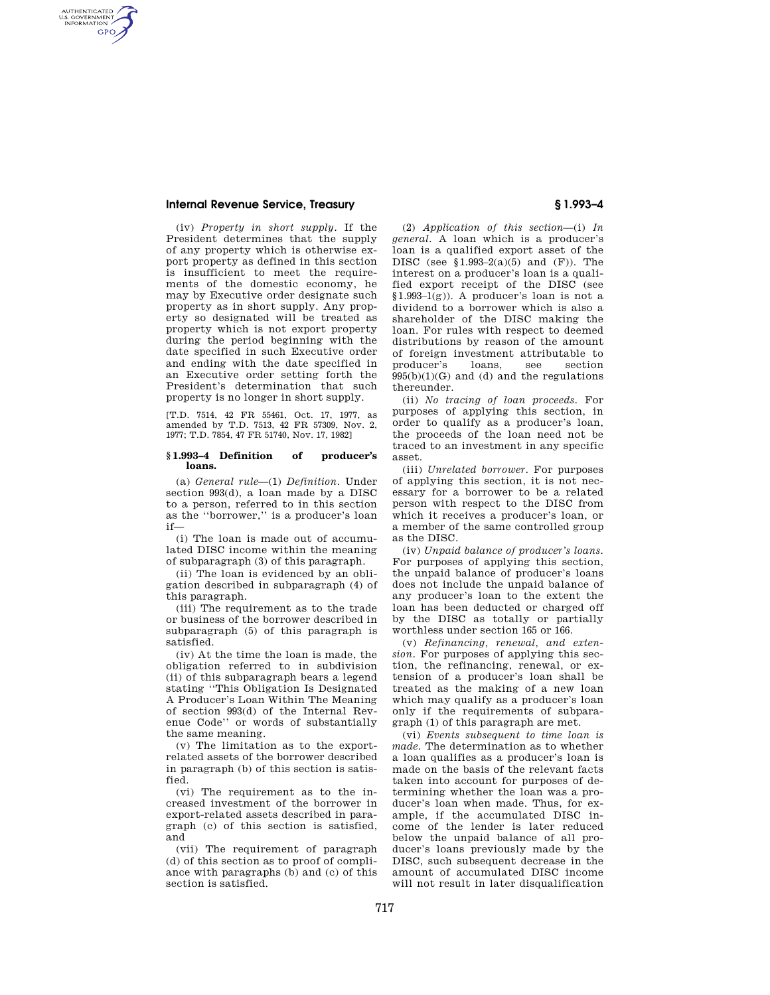# **Internal Revenue Service, Treasury § 1.993–4**

AUTHENTICATED<br>U.S. GOVERNMENT<br>INFORMATION **GPO** 

> (iv) *Property in short supply.* If the President determines that the supply of any property which is otherwise export property as defined in this section is insufficient to meet the requirements of the domestic economy, he may by Executive order designate such property as in short supply. Any property so designated will be treated as property which is not export property during the period beginning with the date specified in such Executive order and ending with the date specified in an Executive order setting forth the President's determination that such property is no longer in short supply.

[T.D. 7514, 42 FR 55461, Oct. 17, 1977, as amended by T.D. 7513, 42 FR 57309, Nov. 2, 1977; T.D. 7854, 47 FR 51740, Nov. 17, 1982]

#### **§ 1.993–4 Definition of producer's loans.**

(a) *General rule*—(1) *Definition.* Under section 993(d), a loan made by a DISC to a person, referred to in this section as the ''borrower,'' is a producer's loan if—

(i) The loan is made out of accumulated DISC income within the meaning of subparagraph (3) of this paragraph.

(ii) The loan is evidenced by an obligation described in subparagraph (4) of this paragraph.

(iii) The requirement as to the trade or business of the borrower described in subparagraph (5) of this paragraph is satisfied.

(iv) At the time the loan is made, the obligation referred to in subdivision (ii) of this subparagraph bears a legend stating ''This Obligation Is Designated A Producer's Loan Within The Meaning of section 993(d) of the Internal Revenue Code'' or words of substantially the same meaning.

(v) The limitation as to the exportrelated assets of the borrower described in paragraph (b) of this section is satisfied.

(vi) The requirement as to the increased investment of the borrower in export-related assets described in paragraph (c) of this section is satisfied, and

(vii) The requirement of paragraph (d) of this section as to proof of compliance with paragraphs (b) and (c) of this section is satisfied.

(2) *Application of this section*—(i) *In general.* A loan which is a producer's loan is a qualified export asset of the DISC (see  $$1.993-2(a)(5)$  and  $(F)$ ). The interest on a producer's loan is a qualified export receipt of the DISC (see §1.993–1(g)). A producer's loan is not a dividend to a borrower which is also a shareholder of the DISC making the loan. For rules with respect to deemed distributions by reason of the amount of foreign investment attributable to producer's loans, see section  $995(b)(1)(G)$  and (d) and the regulations thereunder.

(ii) *No tracing of loan proceeds.* For purposes of applying this section, in order to qualify as a producer's loan, the proceeds of the loan need not be traced to an investment in any specific asset.

(iii) *Unrelated borrower.* For purposes of applying this section, it is not necessary for a borrower to be a related person with respect to the DISC from which it receives a producer's loan, or a member of the same controlled group as the DISC.

(iv) *Unpaid balance of producer's loans.*  For purposes of applying this section, the unpaid balance of producer's loans does not include the unpaid balance of any producer's loan to the extent the loan has been deducted or charged off by the DISC as totally or partially worthless under section 165 or 166.

(v) *Refinancing, renewal, and extension.* For purposes of applying this section, the refinancing, renewal, or extension of a producer's loan shall be treated as the making of a new loan which may qualify as a producer's loan only if the requirements of subparagraph (1) of this paragraph are met.

(vi) *Events subsequent to time loan is made.* The determination as to whether a loan qualifies as a producer's loan is made on the basis of the relevant facts taken into account for purposes of determining whether the loan was a producer's loan when made. Thus, for example, if the accumulated DISC income of the lender is later reduced below the unpaid balance of all producer's loans previously made by the DISC, such subsequent decrease in the amount of accumulated DISC income will not result in later disqualification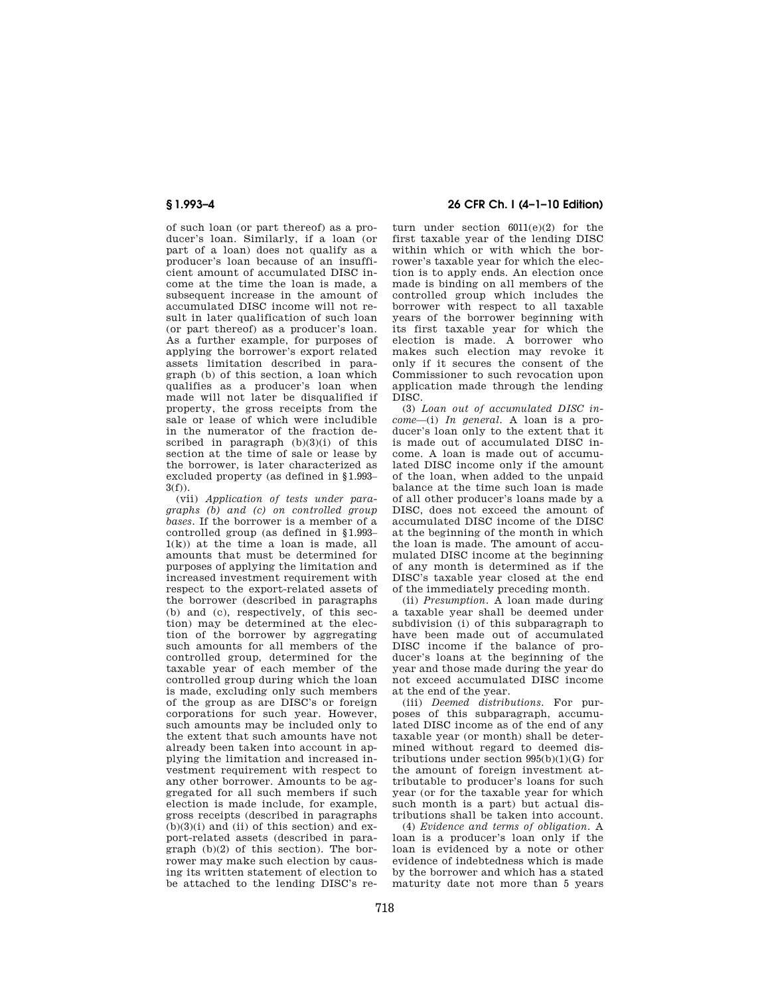of such loan (or part thereof) as a producer's loan. Similarly, if a loan (or part of a loan) does not qualify as a producer's loan because of an insufficient amount of accumulated DISC income at the time the loan is made, a subsequent increase in the amount of accumulated DISC income will not result in later qualification of such loan (or part thereof) as a producer's loan. As a further example, for purposes of applying the borrower's export related assets limitation described in paragraph (b) of this section, a loan which qualifies as a producer's loan when made will not later be disqualified if property, the gross receipts from the sale or lease of which were includible in the numerator of the fraction described in paragraph  $(b)(3)(i)$  of this section at the time of sale or lease by the borrower, is later characterized as excluded property (as defined in §1.993–  $3(f)$ ).

(vii) *Application of tests under paragraphs (b) and (c) on controlled group bases.* If the borrower is a member of a controlled group (as defined in §1.993–  $1(k)$  at the time a loan is made, all amounts that must be determined for purposes of applying the limitation and increased investment requirement with respect to the export-related assets of the borrower (described in paragraphs (b) and (c), respectively, of this section) may be determined at the election of the borrower by aggregating such amounts for all members of the controlled group, determined for the taxable year of each member of the controlled group during which the loan is made, excluding only such members of the group as are DISC's or foreign corporations for such year. However, such amounts may be included only to the extent that such amounts have not already been taken into account in applying the limitation and increased investment requirement with respect to any other borrower. Amounts to be aggregated for all such members if such election is made include, for example, gross receipts (described in paragraphs  $(b)(3)(i)$  and  $(ii)$  of this section) and export-related assets (described in paragraph (b)(2) of this section). The borrower may make such election by causing its written statement of election to be attached to the lending DISC's re-

# **§ 1.993–4 26 CFR Ch. I (4–1–10 Edition)**

turn under section  $6011(e)(2)$  for the first taxable year of the lending DISC within which or with which the borrower's taxable year for which the election is to apply ends. An election once made is binding on all members of the controlled group which includes the borrower with respect to all taxable years of the borrower beginning with its first taxable year for which the election is made. A borrower who makes such election may revoke it only if it secures the consent of the Commissioner to such revocation upon application made through the lending DISC.

(3) *Loan out of accumulated DISC income*—(i) *In general.* A loan is a producer's loan only to the extent that it is made out of accumulated DISC income. A loan is made out of accumulated DISC income only if the amount of the loan, when added to the unpaid balance at the time such loan is made of all other producer's loans made by a DISC, does not exceed the amount of accumulated DISC income of the DISC at the beginning of the month in which the loan is made. The amount of accumulated DISC income at the beginning of any month is determined as if the DISC's taxable year closed at the end of the immediately preceding month.

(ii) *Presumption.* A loan made during a taxable year shall be deemed under subdivision (i) of this subparagraph to have been made out of accumulated DISC income if the balance of producer's loans at the beginning of the year and those made during the year do not exceed accumulated DISC income at the end of the year.

(iii) *Deemed distributions.* For purposes of this subparagraph, accumulated DISC income as of the end of any taxable year (or month) shall be determined without regard to deemed distributions under section  $995(b)(1)(G)$  for the amount of foreign investment attributable to producer's loans for such year (or for the taxable year for which such month is a part) but actual distributions shall be taken into account.

(4) *Evidence and terms of obligation.* A loan is a producer's loan only if the loan is evidenced by a note or other evidence of indebtedness which is made by the borrower and which has a stated maturity date not more than 5 years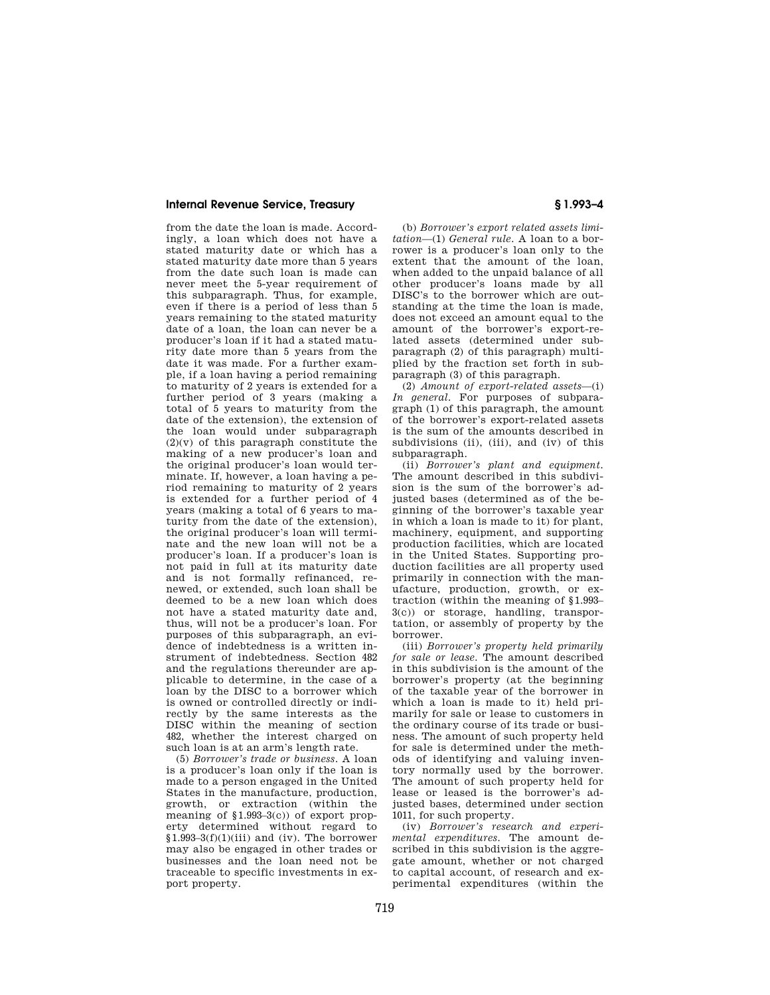## **Internal Revenue Service, Treasury § 1.993–4**

from the date the loan is made. Accordingly, a loan which does not have a stated maturity date or which has a stated maturity date more than 5 years from the date such loan is made can never meet the 5-year requirement of this subparagraph. Thus, for example, even if there is a period of less than 5 years remaining to the stated maturity date of a loan, the loan can never be a producer's loan if it had a stated maturity date more than 5 years from the date it was made. For a further example, if a loan having a period remaining to maturity of 2 years is extended for a further period of 3 years (making a total of 5 years to maturity from the date of the extension), the extension of the loan would under subparagraph  $(2)(v)$  of this paragraph constitute the making of a new producer's loan and the original producer's loan would terminate. If, however, a loan having a period remaining to maturity of 2 years is extended for a further period of 4 years (making a total of 6 years to maturity from the date of the extension), the original producer's loan will terminate and the new loan will not be a producer's loan. If a producer's loan is not paid in full at its maturity date and is not formally refinanced, renewed, or extended, such loan shall be deemed to be a new loan which does not have a stated maturity date and, thus, will not be a producer's loan. For purposes of this subparagraph, an evidence of indebtedness is a written instrument of indebtedness. Section 482 and the regulations thereunder are applicable to determine, in the case of a loan by the DISC to a borrower which is owned or controlled directly or indirectly by the same interests as the DISC within the meaning of section 482, whether the interest charged on such loan is at an arm's length rate.

(5) *Borrower's trade or business.* A loan is a producer's loan only if the loan is made to a person engaged in the United States in the manufacture, production, growth, or extraction (within the meaning of §1.993–3(c)) of export property determined without regard to  $$1.993-3(f)(1)(iii)$  and (iv). The borrower may also be engaged in other trades or businesses and the loan need not be traceable to specific investments in export property.

(b) *Borrower's export related assets limitation*—(1) *General rule.* A loan to a borrower is a producer's loan only to the extent that the amount of the loan, when added to the unpaid balance of all other producer's loans made by all DISC's to the borrower which are outstanding at the time the loan is made, does not exceed an amount equal to the amount of the borrower's export-related assets (determined under subparagraph (2) of this paragraph) multiplied by the fraction set forth in subparagraph (3) of this paragraph.

(2) *Amount of export-related assets*—(i) *In general.* For purposes of subparagraph (1) of this paragraph, the amount of the borrower's export-related assets is the sum of the amounts described in subdivisions (ii), (iii), and (iv) of this subparagraph.

(ii) *Borrower's plant and equipment.*  The amount described in this subdivision is the sum of the borrower's adjusted bases (determined as of the beginning of the borrower's taxable year in which a loan is made to it) for plant, machinery, equipment, and supporting production facilities, which are located in the United States. Supporting production facilities are all property used primarily in connection with the manufacture, production, growth, or extraction (within the meaning of §1.993– 3(c)) or storage, handling, transportation, or assembly of property by the borrower.

(iii) *Borrower's property held primarily for sale or lease.* The amount described in this subdivision is the amount of the borrower's property (at the beginning of the taxable year of the borrower in which a loan is made to it) held primarily for sale or lease to customers in the ordinary course of its trade or business. The amount of such property held for sale is determined under the methods of identifying and valuing inventory normally used by the borrower. The amount of such property held for lease or leased is the borrower's adjusted bases, determined under section 1011, for such property.

(iv) *Borrower's research and experimental expenditures.* The amount described in this subdivision is the aggregate amount, whether or not charged to capital account, of research and experimental expenditures (within the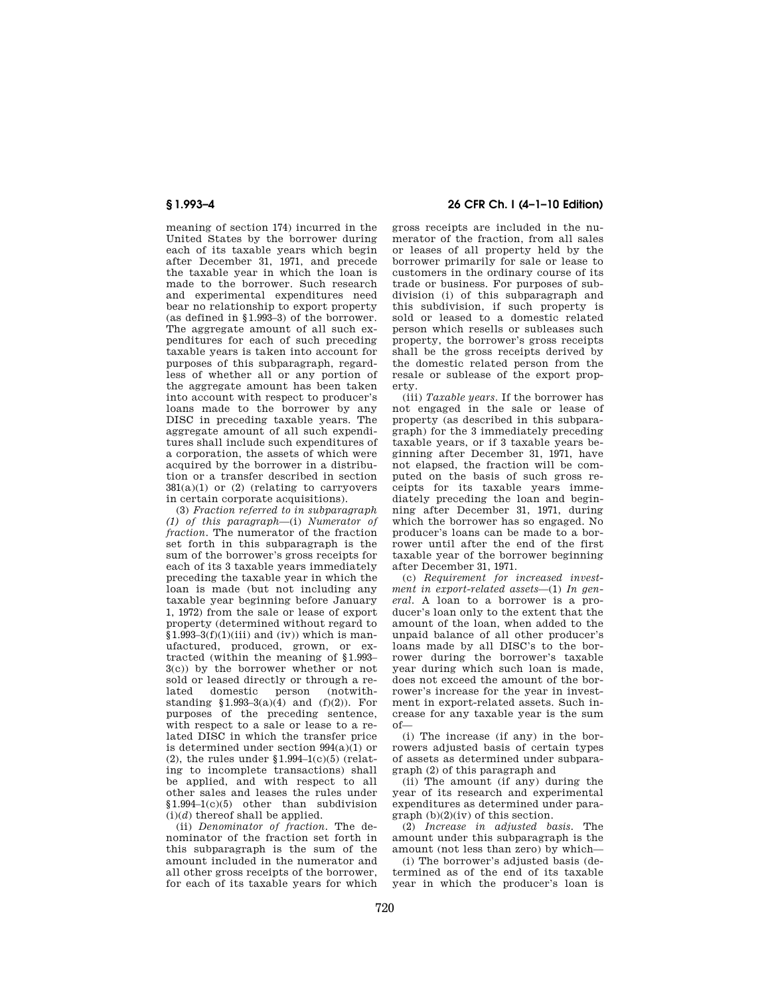meaning of section 174) incurred in the United States by the borrower during each of its taxable years which begin after December 31, 1971, and precede the taxable year in which the loan is made to the borrower. Such research and experimental expenditures need bear no relationship to export property (as defined in §1.993–3) of the borrower. The aggregate amount of all such expenditures for each of such preceding taxable years is taken into account for purposes of this subparagraph, regardless of whether all or any portion of the aggregate amount has been taken into account with respect to producer's loans made to the borrower by any DISC in preceding taxable years. The aggregate amount of all such expenditures shall include such expenditures of a corporation, the assets of which were acquired by the borrower in a distribution or a transfer described in section  $381(a)(1)$  or  $(2)$  (relating to carryovers in certain corporate acquisitions).

(3) *Fraction referred to in subparagraph (1) of this paragraph*—(i) *Numerator of fraction.* The numerator of the fraction set forth in this subparagraph is the sum of the borrower's gross receipts for each of its 3 taxable years immediately preceding the taxable year in which the loan is made (but not including any taxable year beginning before January 1, 1972) from the sale or lease of export property (determined without regard to  $$1.993-3(f)(1)(iii)$  and  $(iv)$ ) which is manufactured, produced, grown, or extracted (within the meaning of §1.993– 3(c)) by the borrower whether or not sold or leased directly or through a re-<br>lated domestic person (notwithlated domestic standing §1.993–3(a)(4) and (f)(2)). For purposes of the preceding sentence, with respect to a sale or lease to a related DISC in which the transfer price is determined under section 994(a)(1) or (2), the rules under  $$1.994-1(c)(5)$  (relating to incomplete transactions) shall be applied, and with respect to all other sales and leases the rules under §1.994–1(c)(5) other than subdivision  $(i)(d)$  thereof shall be applied.

(ii) *Denominator of fraction.* The denominator of the fraction set forth in this subparagraph is the sum of the amount included in the numerator and all other gross receipts of the borrower, for each of its taxable years for which

**§ 1.993–4 26 CFR Ch. I (4–1–10 Edition)** 

gross receipts are included in the numerator of the fraction, from all sales or leases of all property held by the borrower primarily for sale or lease to customers in the ordinary course of its trade or business. For purposes of subdivision (i) of this subparagraph and this subdivision, if such property is sold or leased to a domestic related person which resells or subleases such property, the borrower's gross receipts shall be the gross receipts derived by the domestic related person from the resale or sublease of the export property.

(iii) *Taxable years.* If the borrower has not engaged in the sale or lease of property (as described in this subparagraph) for the 3 immediately preceding taxable years, or if 3 taxable years beginning after December 31, 1971, have not elapsed, the fraction will be computed on the basis of such gross receipts for its taxable years immediately preceding the loan and beginning after December 31, 1971, during which the borrower has so engaged. No producer's loans can be made to a borrower until after the end of the first taxable year of the borrower beginning after December 31, 1971.

(c) *Requirement for increased investment in export-related assets*—(1) *In general.* A loan to a borrower is a producer's loan only to the extent that the amount of the loan, when added to the unpaid balance of all other producer's loans made by all DISC's to the borrower during the borrower's taxable year during which such loan is made, does not exceed the amount of the borrower's increase for the year in investment in export-related assets. Such increase for any taxable year is the sum of—

(i) The increase (if any) in the borrowers adjusted basis of certain types of assets as determined under subparagraph (2) of this paragraph and

(ii) The amount (if any) during the year of its research and experimental expenditures as determined under paragraph (b)(2)(iv) of this section.

(2) *Increase in adjusted basis.* The amount under this subparagraph is the amount (not less than zero) by which—

(i) The borrower's adjusted basis (determined as of the end of its taxable year in which the producer's loan is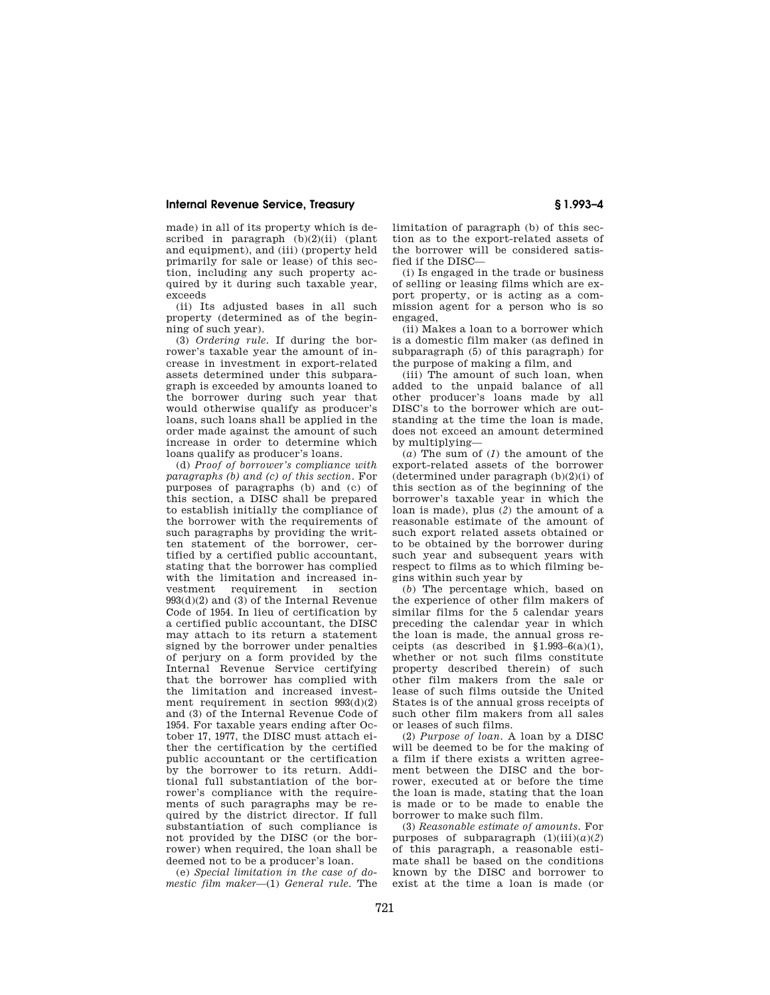## **Internal Revenue Service, Treasury § 1.993–4**

made) in all of its property which is described in paragraph  $(b)(2)(ii)$  (plant and equipment), and (iii) (property held primarily for sale or lease) of this section, including any such property acquired by it during such taxable year, exceeds

(ii) Its adjusted bases in all such property (determined as of the beginning of such year).

(3) *Ordering rule.* If during the borrower's taxable year the amount of increase in investment in export-related assets determined under this subparagraph is exceeded by amounts loaned to the borrower during such year that would otherwise qualify as producer's loans, such loans shall be applied in the order made against the amount of such increase in order to determine which loans qualify as producer's loans.

(d) *Proof of borrower's compliance with paragraphs (b) and (c) of this section.* For purposes of paragraphs (b) and (c) of this section, a DISC shall be prepared to establish initially the compliance of the borrower with the requirements of such paragraphs by providing the written statement of the borrower, certified by a certified public accountant, stating that the borrower has complied with the limitation and increased investment requirement in section  $993(d)(2)$  and  $(3)$  of the Internal Revenue Code of 1954. In lieu of certification by a certified public accountant, the DISC may attach to its return a statement signed by the borrower under penalties of perjury on a form provided by the Internal Revenue Service certifying that the borrower has complied with the limitation and increased investment requirement in section 993(d)(2) and (3) of the Internal Revenue Code of 1954. For taxable years ending after October 17, 1977, the DISC must attach either the certification by the certified public accountant or the certification by the borrower to its return. Additional full substantiation of the borrower's compliance with the requirements of such paragraphs may be required by the district director. If full substantiation of such compliance is not provided by the DISC (or the borrower) when required, the loan shall be deemed not to be a producer's loan.

(e) *Special limitation in the case of domestic film maker*—(1) *General rule.* The limitation of paragraph (b) of this section as to the export-related assets of the borrower will be considered satisfied if the DISC—

(i) Is engaged in the trade or business of selling or leasing films which are export property, or is acting as a commission agent for a person who is so engaged,

(ii) Makes a loan to a borrower which is a domestic film maker (as defined in subparagraph (5) of this paragraph) for the purpose of making a film, and

(iii) The amount of such loan, when added to the unpaid balance of all other producer's loans made by all DISC's to the borrower which are outstanding at the time the loan is made, does not exceed an amount determined by multiplying—

(*a*) The sum of (*1*) the amount of the export-related assets of the borrower (determined under paragraph (b)(2)(i) of this section as of the beginning of the borrower's taxable year in which the loan is made), plus (*2*) the amount of a reasonable estimate of the amount of such export related assets obtained or to be obtained by the borrower during such year and subsequent years with respect to films as to which filming begins within such year by

(*b*) The percentage which, based on the experience of other film makers of similar films for the 5 calendar years preceding the calendar year in which the loan is made, the annual gross receipts (as described in  $$1.993-6(a)(1)$ , whether or not such films constitute property described therein) of such other film makers from the sale or lease of such films outside the United States is of the annual gross receipts of such other film makers from all sales or leases of such films.

(2) *Purpose of loan.* A loan by a DISC will be deemed to be for the making of a film if there exists a written agreement between the DISC and the borrower, executed at or before the time the loan is made, stating that the loan is made or to be made to enable the borrower to make such film.

(3) *Reasonable estimate of amounts.* For purposes of subparagraph  $(1)(iii)(a)(2)$ of this paragraph, a reasonable estimate shall be based on the conditions known by the DISC and borrower to exist at the time a loan is made (or